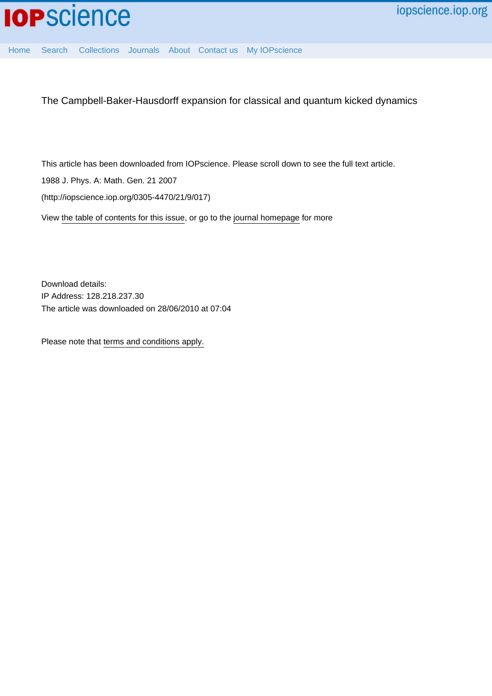

[Home](http://iopscience.iop.org/) [Search](http://iopscience.iop.org/search) [Collections](http://iopscience.iop.org/collections) [Journals](http://iopscience.iop.org/journals) [About](http://iopscience.iop.org/page/aboutioppublishing) [Contact us](http://iopscience.iop.org/contact) [My IOPscience](http://iopscience.iop.org/myiopscience)

The Campbell-Baker-Hausdorff expansion for classical and quantum kicked dynamics

This article has been downloaded from IOPscience. Please scroll down to see the full text article.

1988 J. Phys. A: Math. Gen. 21 2007

(http://iopscience.iop.org/0305-4470/21/9/017)

View [the table of contents for this issue](http://iopscience.iop.org/0305-4470/21/9), or go to the [journal homepage](http://iopscience.iop.org/0305-4470) for more

Download details: IP Address: 128.218.237.30 The article was downloaded on 28/06/2010 at 07:04

Please note that [terms and conditions apply.](http://iopscience.iop.org/page/terms)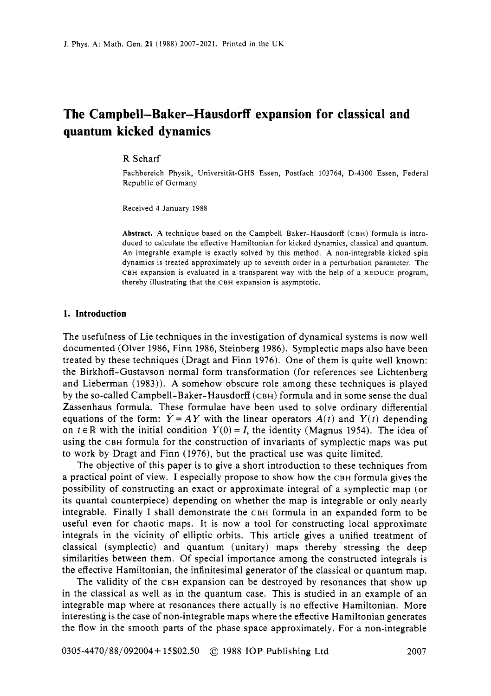# **The Campbell-Baker-Hausdorff expansion for classical and quantum kicked dynamics**

#### R Scharf

Fachbereich Physik, Universitat-GHS Essen, Postfach 103764, D-4300 Essen, Federal Republic of Germany

Received 4 January 1988

**Abstract. A** technique based on the Campbell-Baker-Hausdorff **(CBH)** formula is introduced to calculate the effective Hamiltonian for kicked dynamics, classical and quantum. An integrable example is exactly solved by this method. A non-integrable kicked spin dynamics is treated approximately up to seventh order in a perturbation parameter. The **CBH** expansion is evaluated in a transparent way with the help of a REDUCE program, thereby illustrating that the CBH expansion is asymptotic.

#### **1. Introduction**

The usefulness of Lie techniques in the investigation of dynamical systems is now well documented (Olver 1986, Finn 1986, Steinberg 1986). Symplectic maps also have been treated by these techniques (Dragt and Finn 1976). One of them is quite well known: the Birkhoff -Gustavson normal form transformation (for references see Lichtenberg and Lieberman (1983)). **A** somehow obscure role among these techniques is played by the so-called Campbell-Baker-Hausdorff (CBH) formula and in some sense the dual Zassenhaus formula. These formulae have been used to solve ordinary differential equations of the form:  $\dot{Y} = AY$  with the linear operators  $A(t)$  and  $Y(t)$  depending on  $t \in \mathbb{R}$  with the initial condition  $Y(0) = I$ , the identity (Magnus 1954). The idea of using the CBH formula for the construction of invariants of symplectic maps was put to work by Dragt and Finn (1976), but the practical use was quite limited.

The objective of this paper is to give a short introduction to these techniques from a practical point of view. **I** especially propose to show how the CBH formula gives the possibility of constructing an exact or approximate integral of a symplectic map (or its quantal counterpiece) depending on whether the map is integrable or only nearly integrable. Finally I shall demonstrate the CBH formula in an expanded form to be useful even for chaotic maps. It is now a tool for constructing local approximate integrals in the vicinity of elliptic orbits. This article gives a unified treatment of classical (symplectic) and quantum (unitary) maps thereby stressing the deep similarities between them. Of special importance among the constructed integrals is the effective Hamiltonian, the infinitesimal generator of the classical or quantum map.

The validity of the CBH expansion can be destroyed by resonances that show up in the classical as well as in the quantum case. This is studied in an example of an integrable map where at resonances there actually is no effective Hamiltonian. More interesting is the case of non-integrable maps where the effective Hamiltonian generates the flow in the smooth parts of the phase space approximately. For a non-integrable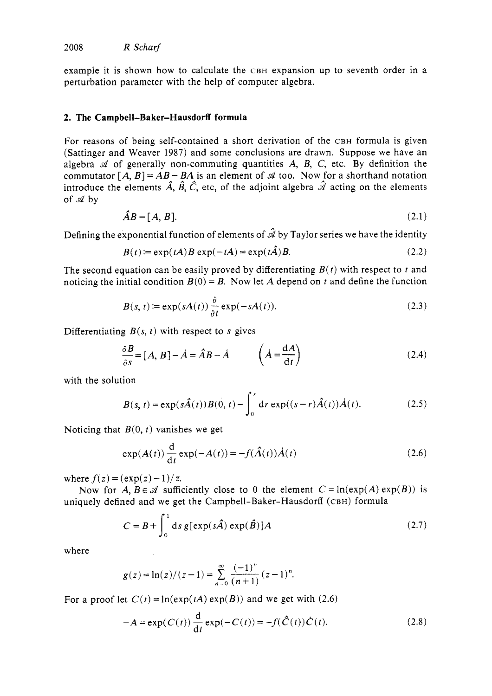example it is shown how to calculate the CBH expansion up to seventh order in a perturbation parameter with the help of computer algebra.

## **2. The Campbell-Baker-Hausdorff formula**

For reasons of being self-contained a short derivation of the CBH formula is given (Sattinger and Weaver 1987) and some conclusions are drawn. Suppose we have an algebra  $A$  of generally non-commuting quantities  $A$ ,  $B$ ,  $C$ , etc. By definition the commutator  $[A, B] = AB - BA$  is an element of  $\mathcal A$  too. Now for a shorthand notation introduce the elements  $\hat{A}$ ,  $\hat{B}$ ,  $\hat{C}$ , etc, of the adjoint algebra  $\hat{\mathcal{A}}$  acting on the elements of *d* by

$$
\hat{A}B = [A, B]. \tag{2.1}
$$

Defining the exponential function of elements of  $\hat{\mathcal{A}}$  by Taylor series we have the identity

$$
B(t) = \exp(tA)B \exp(-tA) = \exp(t\hat{A})B.
$$
 (2.2)

The second equation can be easily proved by differentiating  $B(t)$  with respect to  $t$  and noticing the initial condition  $B(0) = B$ . Now let A depend on *t* and define the function

$$
B(s, t) := \exp(sA(t)) \frac{\partial}{\partial t} \exp(-sA(t)).
$$
\n(2.3)

Differentiating  $B(s, t)$  with respect to *s* gives

$$
\frac{\partial B}{\partial s} = [A, B] - \dot{A} = \hat{A}B - \dot{A} \qquad \left(\dot{A} = \frac{dA}{dt}\right) \tag{2.4}
$$

with the solution

$$
B(s, t) = \exp(s\hat{A}(t))B(0, t) - \int_0^s \mathrm{d}r \exp((s - r)\hat{A}(t))\dot{A}(t). \tag{2.5}
$$

Noticing that *B(0, t)* vanishes we get

$$
\exp(A(t))\frac{d}{dt}\exp(-A(t)) = -f(\hat{A}(t))\dot{A}(t)
$$
\n(2.6)

where  $f(z) = (\exp(z) - 1)/z$ .

uniquely defined and we get the Campbell-Baker-Hausdorff (CBH) formula Now for  $A, B \in \mathcal{A}$  sufficiently close to 0 the element  $C = \ln(\exp(A) \exp(B))$  is

$$
C = B + \int_0^1 ds \, g[exp(s\hat{A}) exp(\hat{B})]A
$$
 (2.7)

where

$$
g(z) = \ln(z)/(z-1) = \sum_{n=0}^{\infty} \frac{(-1)^n}{(n+1)} (z-1)^n.
$$

For a proof let  $C(t) = \ln(\exp(tA) \exp(B))$  and we get with (2.6)

$$
-A = \exp(C(t)) \frac{d}{dt} \exp(-C(t)) = -f(\hat{C}(t)) \dot{C}(t).
$$
 (2.8)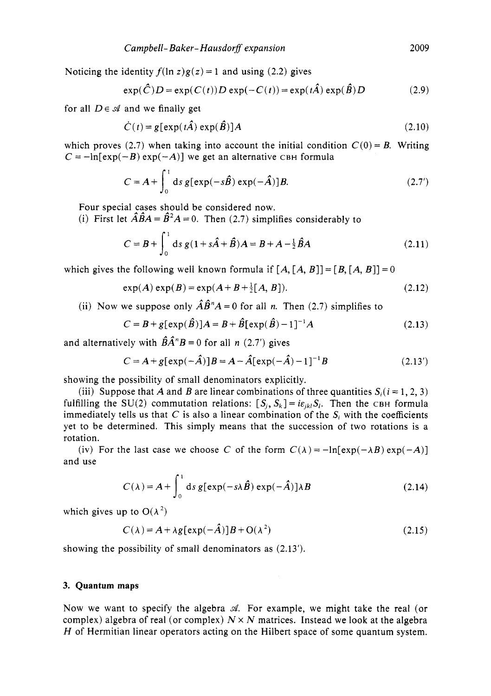Noticing the identity  $f(\ln z)g(z) = 1$  and using (2.2) gives

$$
\exp(\hat{C})D = \exp(C(t))D\exp(-C(t)) = \exp(t\hat{A})\exp(\hat{B})D
$$
 (2.9)

for all  $D \in \mathcal{A}$  and we finally get

$$
\dot{C}(t) = g[\exp(t\hat{A}) \exp(\hat{B})]A
$$
\n(2.10)

which proves (2.7) when taking into account the initial condition  $C(0) = B$ . Writing  $C = -\ln[\exp(-B) \exp(-A)]$  we get an alternative CBH formula

$$
C = A + \int_0^1 ds \, g[exp(-s\hat{B}) \, exp(-\hat{A})]B. \tag{2.7'}
$$

Four special cases stould be considered now.

(i) First let  $\hat{A}\hat{B}A = \hat{B}^2A = 0$ . Then (2.7) simplifies considerably to

$$
C = B + \int_0^1 ds \, g (1 + s\hat{A} + \hat{B}) A = B + A - \frac{1}{2} \hat{B} A \tag{2.11}
$$

which gives the following well known formula if  $[A, [A, B]] = [B, [A, B]] = 0$ 

$$
\exp(A)\exp(B) = \exp(A+B+\frac{1}{2}[A,B]).
$$
 (2.12)

(ii) Now we suppose only  $\hat{A}\hat{B}^nA = 0$  for all *n*. Then (2.7) simplifies to

$$
C = B + g[\exp(\hat{B})]A = B + \hat{B}[\exp(\hat{B}) - 1]^{-1}A
$$
\n(2.13)

and alternatively with  $\hat{B}\hat{A}^nB = 0$  for all *n* (2.7') gives

$$
C = A + g[exp(-\hat{A})]B = A - \hat{A}[exp(-\hat{A}) - 1]^{-1}B
$$
 (2.13')

showing the possibility of small denominators explicitly.

(iii) Suppose that A and B are linear combinations of three quantities  $S_i$  ( $i = 1, 2, 3$ ) fulfilling the SU(2) commutation relations:  $[S_i, S_k] = i\varepsilon_{ik}S_k$ . Then the CBH formula immediately tells us that  $C$  is also a linear combination of the  $S_i$  with the coefficients yet to be determined. This simply means that the succession of two rotations is a rotation.

(iv) For the last case we choose C of the form  $C(\lambda) = -\ln[\exp(-\lambda B) \exp(-\lambda)]$ and use

$$
C(\lambda) = A + \int_0^1 ds \, g[exp(-s\lambda \hat{B}) \, exp(-\hat{A})] \lambda B \tag{2.14}
$$

which gives up to  $O(\lambda^2)$ 

$$
C(\lambda) = A + \lambda g[\exp(-\hat{A})]B + O(\lambda^2)
$$
\n(2.15)

showing the possibility of small denominators as (2.13').

## **3. Quantum maps**

Now we want to specify the algebra *d.* For example, we might take the real (or complex) algebra of real (or complex)  $N \times N$  matrices. Instead we look at the algebra *H* of Hermitian linear operators acting on the Hilbert space of some quantum system.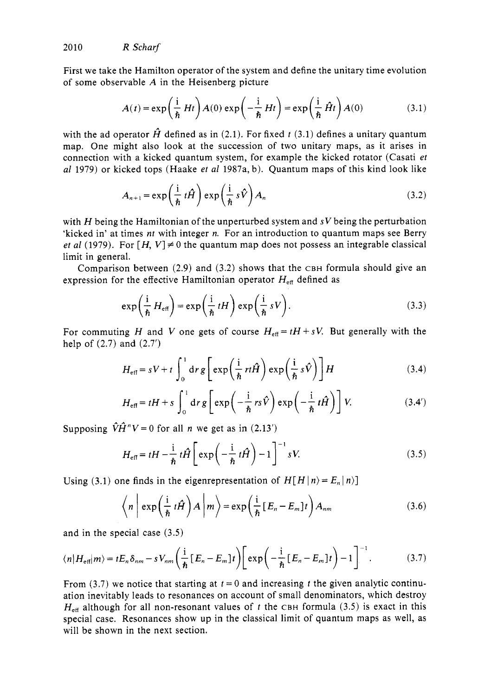First we take the Hamilton operator of the system and define the unitary time evolution of some observable  $A$  in the Heisenberg picture

$$
A(t) = \exp\left(\frac{i}{\hbar} Ht\right) A(0) \exp\left(-\frac{i}{\hbar} Ht\right) = \exp\left(\frac{i}{\hbar} \hat{H}t\right) A(0) \tag{3.1}
$$

with the ad operator  $\hat{H}$  defined as in (2.1). For fixed t (3.1) defines a unitary quantum map. One might also look at the succession of two unitary maps, as it arises in connection with a kicked quantum system, for example the kicked rotator (Casati et *a1* 1979) or kicked tops (Haake et *a1* 1987a, b). Quantum maps of this kind look like

$$
A_{n+1} = \exp\left(\frac{i}{\hbar} t\hat{H}\right) \exp\left(\frac{i}{\hbar} s\hat{V}\right) A_n \tag{3.2}
$$

with H being the Hamiltonian of the unperturbed system and *sV* being the perturbation 'kicked in' at times **nt** with integer *n.* For an introduction to quantum maps see Berry et al (1979). For  $[H, V] \neq 0$  the quantum map does not possess an integrable classical limit in general.

Comparison between (2.9) and (3.2) shows that the CBH formula should give an expression for the effective Hamiltonian operator  $H_{\text{eff}}$  defined as

a1.  
\n
$$
\text{a. } \frac{1}{2} \text{a. } \frac{1}{2} \text{b. } \frac{1}{2} \text{b. } \frac{1}{2} \text{c. } \frac{1}{2} \text{c. } \frac{1}{2} \text{d. } \frac{1}{2} \text{d. } \frac{1}{2} \text{d. } \frac{1}{2} \text{d. } \frac{1}{2} \text{d. } \frac{1}{2} \text{d. } \frac{1}{2} \text{d. } \frac{1}{2} \text{d. } \frac{1}{2} \text{d. } \frac{1}{2} \text{d. } \frac{1}{2} \text{d. } \frac{1}{2} \text{d. } \frac{1}{2} \text{d. } \frac{1}{2} \text{d. } \frac{1}{2} \text{d. } \frac{1}{2} \text{d. } \frac{1}{2} \text{d. } \frac{1}{2} \text{d. } \frac{1}{2} \text{d. } \frac{1}{2} \text{d. } \frac{1}{2} \text{d. } \frac{1}{2} \text{d. } \frac{1}{2} \text{d. } \frac{1}{2} \text{d. } \frac{1}{2} \text{d. } \frac{1}{2} \text{d. } \frac{1}{2} \text{d. } \frac{1}{2} \text{d. } \frac{1}{2} \text{d. } \frac{1}{2} \text{d. } \frac{1}{2} \text{d. } \frac{1}{2} \text{d. } \frac{1}{2} \text{d. } \frac{1}{2} \text{d. } \frac{1}{2} \text{d. } \frac{1}{2} \text{d. } \frac{1}{2} \text{d. } \frac{1}{2} \text{d. } \frac{1}{2} \text{d. } \frac{1}{2} \text{d. } \frac{1}{2} \text{d. } \frac{1}{2} \text{d. } \frac{1}{2} \text{d. } \frac{1}{2} \text{d. } \frac{1}{2} \text{d. } \frac{1}{2} \text{d. } \frac{1}{2} \text{d. } \frac{1}{2} \text{d. } \frac{1}{2} \text{d. } \frac{1}{2} \text{d. } \frac{1}{2} \text{d. } \frac{1}{2} \text{d. } \frac{1}{2}
$$

For commuting H and V one gets of course  $H_{\text{eff}} = tH + sV$ . But generally with the help of  $(2.7)$  and  $(2.7')$ 

$$
H_{\text{eff}} = sV + t \int_0^1 dr g \left[ \exp\left(\frac{i}{\hbar} r t \hat{H}\right) \exp\left(\frac{i}{\hbar} s \hat{V}\right) \right] H \tag{3.4}
$$

$$
H_{\text{eff}} = sV + t \int_0^1 dr g \left[ exp\left(\frac{i}{\hbar} r t \hat{H}\right) exp\left(\frac{i}{\hbar} s \hat{V}\right) \right] H \qquad (3.4)
$$
  

$$
H_{\text{eff}} = tH + s \int_0^1 dr g \left[ exp\left(-\frac{i}{\hbar} r s \hat{V}\right) exp\left(-\frac{i}{\hbar} t \hat{H}\right) \right] V. \qquad (3.4')
$$

Supposing  $\hat{V}\hat{H}^nV=0$  for all *n* we get as in (2.13')

$$
H_{\text{eff}} = tH - \frac{\mathrm{i}}{\hbar} t\hat{H} \left[ \exp\left( -\frac{\mathrm{i}}{\hbar} t\hat{H} \right) - 1 \right]^{-1} sV. \tag{3.5}
$$

Using (3.1) one finds in the eigenrepresentation of  $H[H|n\rangle = E_n|n\rangle$ 

$$
\left\langle n \mid \exp\left(\frac{i}{\hbar} t \hat{H}\right) A \mid m \right\rangle = \exp\left(\frac{i}{\hbar} [E_n - E_m] t \right) A_{nm}
$$
 (3.6)

and in the special case (3.5)

$$
\langle n|H_{\text{eff}}|m\rangle = tE_n\delta_{nm} - sV_{nm}\left(\frac{\mathrm{i}}{\hbar}\left[E_n - E_m\right]t\right)\left[\exp\left(-\frac{\mathrm{i}}{\hbar}\left[E_n - E_m\right]t\right) - 1\right]^{-1}.\tag{3.7}
$$

From (3.7) we notice that starting at  $t = 0$  and increasing t the given analytic continuation inevitably leads to resonances on account of small denominators, which destroy  $H_{\text{eff}}$  although for all non-resonant values of t the CBH formula (3.5) is exact in this special case. Resonances show up in the classical limit of quantum maps as well, as will be shown in the next section.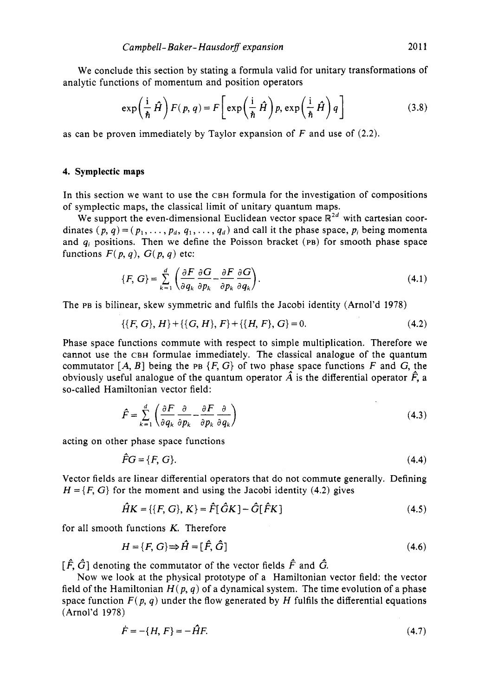We conclude this section by stating a formula valid for unitary transformations of analytic functions of momentum and position operators

$$
\exp\left(\frac{\mathrm{i}}{\hbar}\hat{H}\right)F(p,q) = F\left[\exp\left(\frac{\mathrm{i}}{\hbar}\hat{H}\right)p,\exp\left(\frac{\mathrm{i}}{\hbar}\hat{H}\right)q\right]
$$
(3.8)

as can be proven immediately by Taylor expansion of *F* and use of **(2.2).** 

#### **4. Symplectic maps**

In this section we want to use the CBH formula for the investigation of compositions of symplectic maps, the classical limit of unitary quantum maps.

We support the even-dimensional Euclidean vector space  $\mathbb{R}^{2d}$  with cartesian coordinates  $(p, q) = (p_1, \ldots, p_d, q_1, \ldots, q_d)$  and call it the phase space,  $p_i$  being momenta and  $q_i$  positions. Then we define the Poisson bracket (PB) for smooth phase space functions  $F(p, q)$ ,  $G(p, q)$  etc:

$$
\{F, G\} = \sum_{k=1}^{d} \left( \frac{\partial F}{\partial q_k} \frac{\partial G}{\partial p_k} - \frac{\partial F}{\partial p_k} \frac{\partial G}{\partial q_k} \right).
$$
 (4.1)

The PB is bilinear, skew symmetric and fulfils the Jacobi identity (Arnol'd **1978)** 

$$
\{\{F, G\}, H\} + \{\{G, H\}, F\} + \{\{H, F\}, G\} = 0.
$$
 (4.2)

Phase space functions commute with respect to simple multiplication. Therefore we cannot use the CBH formulae immediately. The classical analogue of the quantum commutator  $[A, B]$  being the PB  $\{F, G\}$  of two phase space functions  $F$  and  $G$ , the obviously useful analogue of the quantum operator  $\hat{A}$  is the differential operator  $\hat{F}$ , a so-called Hamiltonian vector field:

$$
\hat{F} = \sum_{k=1}^{d} \left( \frac{\partial F}{\partial q_k} \frac{\partial}{\partial p_k} - \frac{\partial F}{\partial p_k} \frac{\partial}{\partial q_k} \right)
$$
(4.3)

acting on other phase space functions

$$
\hat{F}G = \{F, G\}.\tag{4.4}
$$

Vector fields are linear differential operators that do not commute generally. Defining  $H = \{F, G\}$  for the moment and using the Jacobi identity (4.2) gives

$$
\hat{H}K = \{ \{F, G\}, K \} = \hat{F}[\hat{G}K] - \hat{G}[\hat{F}K]
$$
\n(4.5)

for all smooth functions *K.* Therefore

$$
H = \{F, G\} \Rightarrow \hat{H} = [\hat{F}, \hat{G}] \tag{4.6}
$$

 $[\hat{F}, \hat{G}]$  denoting the commutator of the vector fields  $\hat{F}$  and  $\hat{G}$ .

Now we look at the physical prototype of a Hamiltonian vector field: the vector field of the Hamiltonian  $H(p, q)$  of a dynamical system. The time evolution of a phase space function  $F(p, q)$  under the flow generated by *H* fulfils the differential equations (Arnol'd **1978)** 

$$
\dot{F} = -\{H, F\} = -\hat{H}F. \tag{4.7}
$$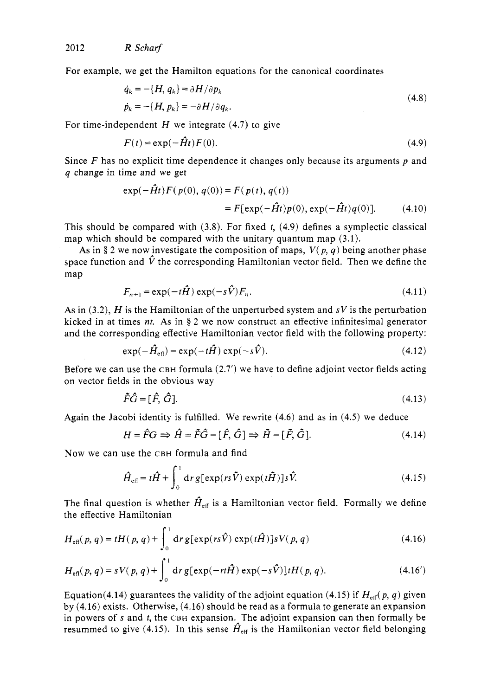For example, we get the Hamilton equations for the canonical coordinates

$$
\dot{q}_k = -\{H, q_k\} = \partial H / \partial p_k
$$
\n
$$
\dot{p}_k = -\{H, p_k\} = -\partial H / \partial q_k.
$$
\n(4.8)

For time-independent  $H$  we integrate (4.7) to give

$$
F(t) = \exp(-\hat{H}t)F(0). \tag{4.9}
$$

Since *F* has no explicit time dependence it changes only because its arguments *p* and *q* change in time and we get

$$
\exp(-\hat{H}t)F(p(0), q(0)) = F(p(t), q(t))
$$
  
= F[exp(-\hat{H}t)p(0), exp(-\hat{H}t)q(0)]. (4.10)

This should be compared with (3.8). For fixed *t,* (4.9) defines a symplectic classical map which should be compared with the unitary quantum map (3.1).

As in § 2 we now investigate the composition of maps,  $V(p, q)$  being another phase space function and  $\hat{V}$  the corresponding Hamiltonian vector field. Then we define the map

$$
F_{n+1} = \exp(-t\hat{H})\exp(-s\hat{V})F_n.
$$
\n(4.11)

As in  $(3.2)$ , H is the Hamiltonian of the unperturbed system and  $sV$  is the perturbation kicked in at times *nt.* **As** in § 2 we now construct an effective infinitesimal generator and the corresponding effective Hamiltonian vector field with the following property:

$$
\exp(-\hat{H}_{\text{eff}}) = \exp(-t\hat{H})\exp(-s\hat{V}).
$$
\n(4.12)

Before we can use the  $CBH$  formula  $(2.7')$  we have to define adjoint vector fields acting on vector fields in the obvious way

$$
\tilde{F}\hat{G} = [\hat{F}, \hat{G}]. \tag{4.13}
$$

Again the Jacobi identity is fulfilled. We rewrite (4.6) and as in (4.5) we deduce

$$
H = \hat{F}G \implies \hat{H} = \tilde{F}\hat{G} = [\hat{F}, \hat{G}] \implies \tilde{H} = [\tilde{F}, \tilde{G}].
$$
\n(4.14)

Now we can use the CBH formula and find

$$
\hat{H}_{\text{eff}} = t\hat{H} + \int_0^1 \mathrm{d}r \, g[\exp(rs\tilde{V}) \exp(t\tilde{H})]s\hat{V}.
$$
\n(4.15)

The final question is whether  $\hat{H}_{\text{eff}}$  is a Hamiltonian vector field. Formally we define the effective Hamiltonian

$$
H_{\text{eff}}(p,q) = tH(p,q) + \int_0^1 \mathrm{d}r \, g[\exp(rs\hat{V}) \exp(t\hat{H})]sV(p,q)
$$
\n(4.16)

$$
H_{\text{eff}}(p,q) = sV(p,q) + \int_0^1 \mathrm{d}r \, g[\exp(-rt\hat{H}) \exp(-s\hat{V})] tH(p,q). \tag{4.16'}
$$

Equation(4.14) guarantees the validity of the adjoint equation (4.15) if  $H_{\text{eff}}(p, q)$  given by (4.16) exists. Otherwise, (4.16) should be read as a formula to generate an expansion in powers of **s** and *t,* the CBH expansion.\*The adjoint expansion can then formally be resummed to give (4.15). In this sense  $\hat{H}_{\text{eff}}$  is the Hamiltonian vector field belonging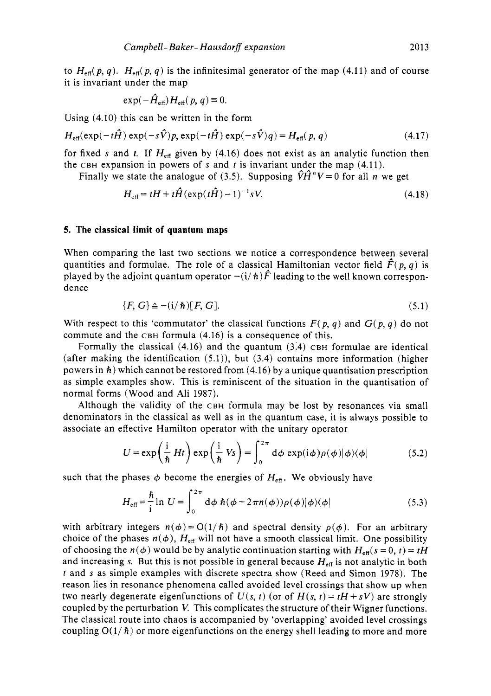to  $H_{\text{eff}}(p, q)$ .  $H_{\text{eff}}(p, q)$  is the infinitesimal generator of the map (4.11) and of course it is invariant under the map

$$
\exp(-\hat{H}_{\text{eff}})H_{\text{eff}}(p,q)\equiv 0.
$$

Using (4.10) this can be written in the form

$$
H_{\text{eff}}(\exp(-t\hat{H})\exp(-s\hat{V})p,\exp(-t\hat{H})\exp(-s\hat{V})q) = H_{\text{eff}}(p,q)
$$
\n(4.17)

for fixed s and t. If  $H_{\text{eff}}$  given by (4.16) does not exist as an analytic function then the CBH expansion in powers of **s** and *t* is invariant under the map (4.11).

Finally we state the analogue of (3.5). Supposing  $\hat{V}\hat{H}^n V = 0$  for all *n* we get

$$
H_{\text{eff}} = tH + t\hat{H}(\exp(t\hat{H}) - 1)^{-1} sV.
$$
 (4.18)

#### **5. The classical limit of quantum maps**

When comparing the last two sections we notice a correspondence between several quantities and formulae. The role of a classical Hamiltonian vector field  $F(p, q)$  is played by the adjoint quantum operator  $-(i/\hbar)\dot{F}$  leading to the well known correspondence

$$
\{F, G\} \triangleq -(i/\hbar)[F, G].\tag{5.1}
$$

With respect to this 'commutator' the classical functions  $F(p, q)$  and  $G(p, q)$  do not commute and the CBH formula (4.16) is a consequence of this.

Formally the classical  $(4.16)$  and the quantum  $(3.4)$  CBH formulae are identical (after making the identification  $(5.1)$ ), but  $(3.4)$  contains more information (higher powers in *h)* which cannot be restored from (4.16) by a unique quantisation prescription as simple examples show. This is reminiscent of the situation in the quantisation of normal forms (Wood and Ali 1987).

Although the validity of the CBH formula may be lost by resonances via small denominators in the classical as well as in the quantum case, it is always possible to associate an effective Hamilton operator with the unitary operator

$$
U = \exp\left(\frac{i}{\hbar} Ht\right) \exp\left(\frac{i}{\hbar} V_s\right) = \int_0^{2\pi} d\phi \exp(i\phi) \rho(\phi) |\phi\rangle\langle\phi| \tag{5.2}
$$

such that the phases  $\phi$  become the energies of  $H_{\text{eff}}$ . We obviously have

$$
H_{\text{eff}} = \frac{\hbar}{\mathrm{i}} \ln U = \int_0^{2\pi} \mathrm{d}\phi \; \hbar (\phi + 2\pi n(\phi)) \rho(\phi) |\phi\rangle\langle\phi| \tag{5.3}
$$

with arbitrary integers  $n(\phi) = O(1/\hbar)$  and spectral density  $\rho(\phi)$ . For an arbitrary choice of the phases  $n(\phi)$ ,  $H_{\text{eff}}$  will not have a smooth classical limit. One possibility of choosing the  $n(\phi)$  would be by analytic continuation starting with  $H_{\text{eff}}(s=0, t) = tH$ and increasing s. But this is not possible in general because  $H_{\text{eff}}$  is not analytic in both *t* and s as simple examples with discrete spectra show (Reed and Simon 1978). The reason lies in resonance phenomena called avoided level crossings that show up when two nearly degenerate eigenfunctions of  $U(s, t)$  (or of  $H(s, t) = tH + sV$ ) are strongly coupled by the perturbation *V.* This complicates the structure of their Wigner functions. The classical route into chaos is accompanied by 'overlapping' avoided level crossings coupling  $O(1/\hbar)$  or more eigenfunctions on the energy shell leading to more and more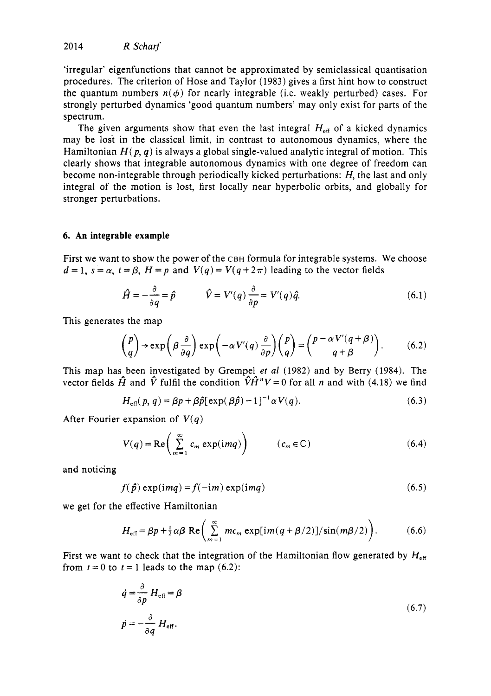'irregular' eigenfunctions that cannot be approximated by semiclassical quantisation procedures. The criterion of Hose and Taylor (1983) gives a first hint how to construct the quantum numbers  $n(\phi)$  for nearly integrable (i.e. weakly perturbed) cases. For strongly perturbed dynamics 'good quantum numbers' may only exist for parts of the spectrum.

The given arguments show that even the last integral  $H_{\text{eff}}$  of a kicked dynamics may be lost in the classical limit, in contrast to autonomous dynamics, where the Hamiltonian  $H(p, q)$  is always a global single-valued analytic integral of motion. This clearly shows that integrable autonomous dynamics with one degree of freedom can become non-integrable through periodically kicked perturbations: *H,* the last and only integral of the motion is lost, first locally near hyperbolic orbits, and globally for stronger perturbations.

## **6. An integrable example**

First we want to show the power of the CBH formula for integrable systems. We choose

$$
d = 1
$$
,  $s = \alpha$ ,  $t = \beta$ ,  $H = p$  and  $V(q) = V(q + 2\pi)$  leading to the vector fields  

$$
\hat{H} = -\frac{\partial}{\partial q} = \hat{p} \qquad \hat{V} = V'(q)\frac{\partial}{\partial p} = V'(q)\hat{q}.
$$
 (6.1)

This generates the map

$$
\begin{pmatrix} p \\ q \end{pmatrix} \rightarrow \exp\left(\beta \frac{\partial}{\partial q}\right) \exp\left(-\alpha V'(q) \frac{\partial}{\partial p}\right) \begin{pmatrix} p \\ q \end{pmatrix} = \begin{pmatrix} p - \alpha V'(q + \beta) \\ q + \beta \end{pmatrix}.
$$
 (6.2)

This map has been investigated by Grempel *et a1* (1982) and by Berry (1984). The vector fields  $\hat{H}$  and  $\hat{V}$  fulfil the condition  $\hat{V}\hat{H}^nV=0$  for all *n* and with (4.18) we find

$$
H_{\text{eff}}(p,q) = \beta p + \beta \hat{p} [\exp(\beta \hat{p}) - 1]^{-1} \alpha V(q). \tag{6.3}
$$

After Fourier expansion of  $V(q)$ 

$$
V(q) = \text{Re}\left(\sum_{m=1}^{\infty} c_m \exp(imq)\right) \qquad (c_m \in \mathbb{C})
$$
 (6.4)

and noticing

$$
f(\hat{p}) \exp(\text{i} mq) = f(-\text{i} m) \exp(\text{i} mq) \tag{6.5}
$$

we get for the effective Hamiltonian

$$
H_{\text{eff}} = \beta p + \frac{1}{2} \alpha \beta \text{ Re} \left( \sum_{m=1}^{\infty} m c_m \exp[im(q + \beta/2)] / \sin(m\beta/2) \right). \tag{6.6}
$$

First we want to check that the integration of the Hamiltonian flow generated by  $H_{\text{eff}}$ from  $t = 0$  to  $t = 1$  leads to the map  $(6.2)$ :

$$
\dot{q} = \frac{\partial}{\partial p} H_{\text{eff}} = \beta
$$
  
\n
$$
\dot{p} = -\frac{\partial}{\partial q} H_{\text{eff}}.
$$
\n(6.7)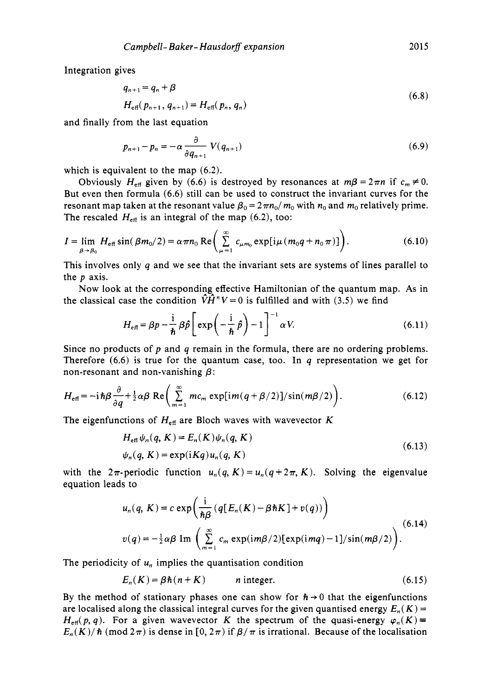Integration gives

$$
q_{n+1} = q_n + \beta
$$
  
\n
$$
H_{\text{eff}}(p_{n+1}, q_{n+1}) = H_{\text{eff}}(p_n, q_n)
$$
 (6.8)

and finally from the last equation

$$
p_{n+1} - p_n = -\alpha \frac{\partial}{\partial q_{n+1}} V(q_{n+1})
$$
\n(6.9)

which is equivalent to the map  $(6.2)$ .

Obviously  $H_{\text{eff}}$  given by (6.6) is destroyed by resonances at  $m\beta = 2\pi n$  if  $c_m \neq 0$ . But even then formula (6.6) still can be used to construct the invariant curves for the resonant map taken at the resonant value  $\beta_0 = 2\pi n_0/m_0$  with  $n_0$  and  $m_0$  relatively prime. The rescaled  $H_{\text{eff}}$  is an integral of the map (6.2), too:

$$
I = \lim_{\beta \to \beta_0} H_{\text{eff}} \sin(\beta m_0/2) = \alpha \pi n_0 \operatorname{Re} \left( \sum_{\mu=1}^{\infty} c_{\mu m_0} \exp[i\mu (m_0 q + n_0 \pi)] \right). \tag{6.10}
$$

This involves only  $q$  and we see that the invariant sets are systems of lines parallel to the *p* axis.

Now look at the corresponding effective Hamiltonian of the quantum map. **As** in the classical case the condition  $\hat{V}\hat{H}^nV=0$  is fulfilled and with (3.5) we find

$$
H_{\text{eff}} = \beta p - \frac{\mathrm{i}}{\hbar} \beta \hat{p} \left[ \exp\left( -\frac{\mathrm{i}}{\hbar} \hat{p} \right) - 1 \right]^{-1} \alpha V. \tag{6.11}
$$

Since no products of *p* and q remain in the formula, there are no ordering problems. Therefore  $(6.6)$  is true for the quantum case, too. In q representation we get for non-resonant and non-vanishing *P:* 

$$
H_{\text{eff}} = -i\hbar\beta \frac{\partial}{\partial q} + \frac{1}{2}\alpha\beta \text{ Re}\left(\sum_{m=1}^{\infty} mc_m \exp[im(q+\beta/2)]/sin(m\beta/2)\right).
$$
 (6.12)

The eigenfunctions of  $H_{\text{eff}}$  are Bloch waves with wavevector K

$$
H_{\text{eff}}\psi_n(q, K) = E_n(K)\psi_n(q, K)
$$
  

$$
\psi_n(q, K) = \exp(iKq)u_n(q, K)
$$
 (6.13)

with the  $2\pi$ -periodic function  $u_n(q, K) = u_n(q + 2\pi, K)$ . Solving the eigenvalue equation leads to

$$
u_n(q, K) = c \exp\left(\frac{i}{\hbar\beta} \left(q[E_n(K) - \beta\hbar K] + v(q)\right)\right)
$$
  

$$
v(q) = -\frac{1}{2}\alpha\beta \operatorname{Im}\left(\sum_{m=1}^{\infty} c_m \exp(im\beta/2)[\exp(imq) - 1]/\sin(m\beta/2)\right).
$$
 (6.14)

The periodicity of  $u_n$  implies the quantisation condition

$$
E_n(K) = \beta \hbar (n + K) \qquad \text{ n integer.} \tag{6.15}
$$

By the method of stationary phases one can show for  $h \rightarrow 0$  that the eigenfunctions are localised along the classical integral curves for the given quantised energy  $E_n(K)$  =  $H_{\text{eff}}(p, q)$ . For a given wavevector K the spectrum of the quasi-energy  $\varphi_n(K)$  $E_n(K)/\hbar$  (mod  $2\pi$ ) is dense in [0,  $2\pi$ ) if  $\beta/\pi$  is irrational. Because of the localisation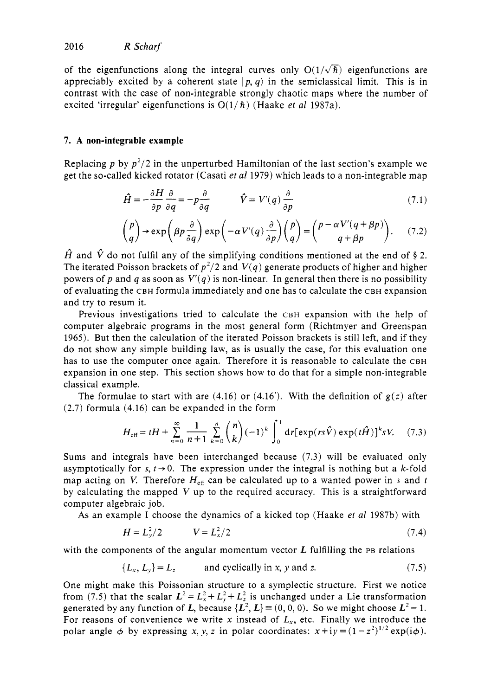of the eigenfunctions along the integral curves only  $O(1/\sqrt{\hbar})$  eigenfunctions are appreciably excited by a coherent state  $|p, q\rangle$  in the semiclassical limit. This is in contrast with the case of non-integrable strongly chaotic maps where the number of excited 'irregular' eigenfunctions is  $O(1/\hbar)$  (Haake *et al* 1987a).

### **7. A non-integrable example**

Replacing *p* by  $p^2/2$  in the unperturbed Hamiltonian of the last section's example we get the so-called kicked rotator (Casati et *a1* 1979) which leads to a non-integrable map

$$
\hat{H} = -\frac{\partial H}{\partial p} \frac{\partial}{\partial q} = -p \frac{\partial}{\partial q} \qquad \hat{V} = V'(q) \frac{\partial}{\partial p} \tag{7.1}
$$

$$
\frac{\partial p}{\partial q} \rightarrow \exp\left(\beta p \frac{\partial}{\partial q}\right) \exp\left(-\alpha V'(q) \frac{\partial}{\partial p}\right) \begin{pmatrix} p \\ q \end{pmatrix} = \begin{pmatrix} p - \alpha V'(q + \beta p) \\ q + \beta p \end{pmatrix}.
$$
 (7.2)

 $\hat{H}$  and  $\hat{V}$  do not fulfil any of the simplifying conditions mentioned at the end of § 2. The iterated Poisson brackets of  $p^2/2$  and  $V(q)$  generate products of higher and higher powers of p and q as soon as  $V'(q)$  is non-linear. In general then there is no possibility of evaluating the CBH formula immediately and one has to calculate the CBH expansion and try to resum it.

Previous investigations tried to calculate the CBH expansion with the help of computer algebraic programs in the most general form (Richtmyer and Greenspan 1965). But then the calculation of the iterated Poisson brackets is still left, and if they do not show any simple building law, as is usually the case, for this evaluation one has to use the computer once again. Therefore it is reasonable to calculate the CBH expansion in one step. This section shows how to do that for a simple non-integrable classical example.

The formulae to start with are (4.16) or (4.16'). With the definition of *g(z)* after (2.7) formula (4.16) can be expanded in the form

nple.  
\n11a to start with are (4.16) or (4.16'). With the definition of 
$$
g(z)
$$
 after  
\n(4.16) can be expanded in the form  
\n
$$
H_{\text{eff}} = tH + \sum_{n=0}^{\infty} \frac{1}{n+1} \sum_{k=0}^{n} {n \choose k} (-1)^k \int_0^1 dr [\exp(rs\hat{V}) \exp(t\hat{H})]^k sV.
$$
 (7.3)

Sums and integrals have been interchanged because (7.3) will be evaluated only asymptotically for  $s, t \rightarrow 0$ . The expression under the integral is nothing but a k-fold map acting on V. Therefore  $H_{\text{eff}}$  can be calculated up to a wanted power in s and t by calculating the mapped V up to the required accuracy. This is **a** straightforward computer algebraic job.

**As** an example I choose the dynamics of a kicked top (Haake et *a1* 1987b) with

$$
H = L_y^2 / 2 \qquad \qquad V = L_x^2 / 2 \tag{7.4}
$$

with the components of the angular momentum vector  $L$  fulfilling the PB relations

$$
\{L_x, L_y\} = L_z \qquad \text{and cyclically in } x, y \text{ and } z. \tag{7.5}
$$

One might make this Poissonian structure to a symplectic structure. First we notice from (7.5) that the scalar  $L^2 = L_x^2 + L_y^2 + L_z^2$  is unchanged under a Lie transformation generated by any function of *L*, because  $\{L^2, L\} = (0, 0, 0)$ . So we might choose  $L^2 = 1$ . For reasons of convenience we write x instead of  $L_x$ , etc. Finally we introduce the polar angle  $\phi$  by expressing x, y, z in polar coordinates:  $x + iy = (1 - z^2)^{1/2} \exp(i\phi)$ .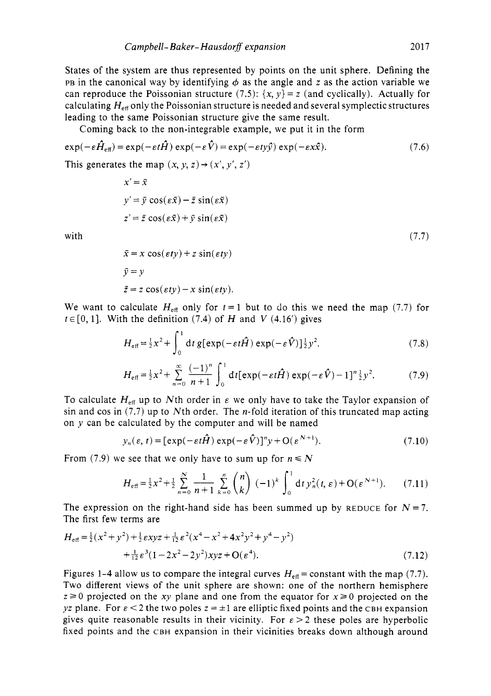States of the system are thus represented by points on the unit sphere. Defining the PB in the canonical way by identifying  $\phi$  as the angle and z as the action variable we can reproduce the Poissonian structure (7.5):  $\{x, y\} = z$  (and cyclically). Actually for calculating  $H_{\text{eff}}$  only the Poissonian structure is needed and several symplectic structures leading to the same Poissonian structure give the same result.

Coming back to the non-integrable example, we put it in the form

$$
\exp(-\varepsilon \hat{H}_{\text{eff}}) = \exp(-\varepsilon t \hat{H}) \exp(-\varepsilon \hat{V}) = \exp(-\varepsilon t y \hat{y}) \exp(-\varepsilon x \hat{x}). \tag{7.6}
$$

This generates the map  $(x, y, z) \rightarrow (x', y', z')$ 

$$
x' = \bar{x}
$$
  
\n
$$
y' = \bar{y} \cos(\epsilon \bar{x}) - \bar{z} \sin(\epsilon \bar{x})
$$
  
\n
$$
z' = \bar{z} \cos(\epsilon \bar{x}) + \bar{y} \sin(\epsilon \bar{x})
$$
\n(7.7)

with

$$
\bar{x} = x \cos(\epsilon t y) + z \sin(\epsilon t y)
$$
  
\n
$$
\bar{y} = y
$$
  
\n
$$
\bar{z} = z \cos(\epsilon t y) - x \sin(\epsilon t y).
$$

We want to calculate  $H_{\text{eff}}$  only for  $t = 1$  but to do this we need the map (7.7) for  $t \in [0, 1]$ . With the definition (7.4) of *H* and *V* (4.16') gives

$$
H_{\text{eff}} = \frac{1}{2}x^2 + \int_0^1 dt \, g[\exp(-\varepsilon t \hat{H}) \exp(-\varepsilon \hat{V})] \frac{1}{2} y^2. \tag{7.8}
$$

$$
H_{\text{eff}} = \frac{1}{2}x^2 + \sum_{n=0}^{\infty} \frac{(-1)^n}{n+1} \int_0^1 \mathrm{d}t [\exp(-\varepsilon t \hat{H}) \exp(-\varepsilon \hat{V}) - 1]^n \frac{1}{2} y^2. \tag{7.9}
$$

To calculate  $H_{\text{eff}}$  up to Nth order in  $\varepsilon$  we only have to take the Taylor expansion of sin and cos in  $(7.7)$  up to Nth order. The *n*-fold iteration of this truncated map acting on *y* can be calculated by the computer and will be named

$$
y_n(\varepsilon, t) = [\exp(-\varepsilon t \hat{H}) \exp(-\varepsilon \hat{V})]^n y + O(\varepsilon^{N+1}).
$$
\n(7.10)

From (7.9) we see that we only have to sum up for  $n \le N$ 

$$
y_n(\varepsilon, t) = [\exp(-\varepsilon t \hat{H}) \exp(-\varepsilon \hat{V})]^n y + O(\varepsilon^{N+1}).
$$
\n
$$
\text{where } \varepsilon \text{ is the value of } \varepsilon \text{ is the value of } \varepsilon \text{ is the value of } \varepsilon \text{ is the value of } \varepsilon \text{ is the value of } \varepsilon \text{ is the value of } \varepsilon \text{ is the value of } \varepsilon \text{ is the value of } \varepsilon \text{ is the value of } \varepsilon \text{ is the value of } \varepsilon \text{ is the value of } \varepsilon \text{ is the value of } \varepsilon \text{ is the value of } \varepsilon \text{ is the value of } \varepsilon \text{ is the value of } \varepsilon \text{ is the value of } \varepsilon \text{ is the value of } \varepsilon \text{ is the value of } \varepsilon \text{ is the value of } \varepsilon \text{ is the value of } \varepsilon \text{ is the value of } \varepsilon \text{ is the value of } \varepsilon \text{ is the value of } \varepsilon \text{ is the value of } \varepsilon \text{ is the value of } \varepsilon \text{ is the value of } \varepsilon \text{ is the value of } \varepsilon \text{ is the value of } \varepsilon \text{ is the value of } \varepsilon \text{ is the value of } \varepsilon \text{ is the value of } \varepsilon \text{ is the value of } \varepsilon \text{ is the value of } \varepsilon \text{ is the value of } \varepsilon \text{ is the value of } \varepsilon \text{ is the value of } \varepsilon \text{ is the value of } \varepsilon \text{ is the value of } \varepsilon \text{ is the value of } \varepsilon \text{ is the value of } \varepsilon \text{ is the value of } \varepsilon \text{ is the value of } \varepsilon \text{ is the value of } \varepsilon \text{ is the value of } \varepsilon \text{ is the value of } \varepsilon \text{ is the value of } \varepsilon \text{ is the value of } \varepsilon \text{ is the value of } \varepsilon \text{ is the value of } \varepsilon \text{ is the value of } \varepsilon \text{ is the value of } \varepsilon \text{ is the value of } \varepsilon \text{ is the value of } \varepsilon \text{ is the value of } \varepsilon \text{ is the value of } \varepsilon \text{ is the value of } \varepsilon \text{ is the value of } \varepsilon \text{ is the value of }
$$

The expression on the right-hand side has been summed up by REDUCE for  $N=7$ . The first few terms are

$$
H_{\text{eff}} = \frac{1}{2}(x^2 + y^2) + \frac{1}{2}\exp z + \frac{1}{12}\varepsilon^2 (x^4 - x^2 + 4x^2y^2 + y^4 - y^2) + \frac{1}{12}\varepsilon^3 (1 - 2x^2 - 2y^2)xyz + O(\varepsilon^4).
$$
 (7.12)

Figures 1-4 allow us to compare the integral curves  $H_{\text{eff}}$  = constant with the map (7.7). Two different views of the unit sphere are shown: one of the northern hemisphere  $z \ge 0$  projected on the xy plane and one from the equator for  $x \ge 0$  projected on the *yz* plane. For  $\epsilon < 2$  the two poles  $z = \pm 1$  are elliptic fixed points and the CBH expansion gives quite reasonable results in their vicinity. For  $\epsilon > 2$  these poles are hyperbolic fixed points and the CBH expansion in their vicinities breaks down although around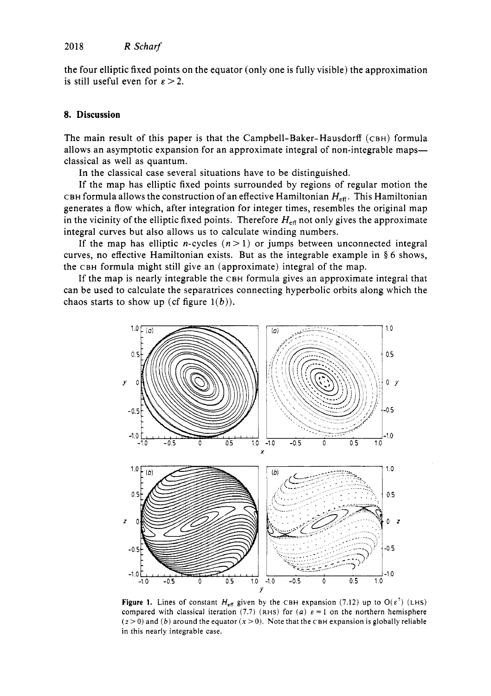the four elliptic fixed points on the equator (only one is fully visible) the approximation is still useful even for  $\varepsilon > 2$ .

#### **8. Discussion**

The main result of this paper is that the Campbell-Baker-Hausdorff **(CBH)** formula allows an asymptotic expansion for an approximate integral of non-integrable maps classical as well as quantum.

In the classical case several situations have to be distinguished.

If the map has elliptic fixed points surrounded by regions of regular motion the CBH formula allows the construction of an effective Hamiltonian  $H_{\text{eff}}$ . This Hamiltonian generates a flow which, after integration for integer times, resembles the original map in the vicinity of the elliptic fixed points. Therefore  $H_{\text{eff}}$  not only gives the approximate integral curves but also allows us to calculate winding numbers.

If the map has elliptic *n*-cycles  $(n>1)$  or jumps between unconnected integral curves, no effective Hamiltonian exists. But as the integrable example in **8 6** shows, the **CBH** formula might still give an (approximate) integral of the map.

If the map is nearly integrable the **CBH** formula gives an approximate integral that can be used to calculate the separatrices connecting hyperbolic orbits along which the chaos starts to show up (cf figure  $1(b)$ ).



**Figure 1.** Lines of constant  $H_{\text{eff}}$  given by the CBH expansion (7.12) up to  $O(\varepsilon^7)$  (LHS) compared with classical iteration (7.7) (RHS) for *(a)*  $\varepsilon = 1$  on the northern hemisphere  $(z > 0)$  and *(b)* around the equator  $(x > 0)$ . Note that the CBH expansion is globally reliable in this nearly integrable case.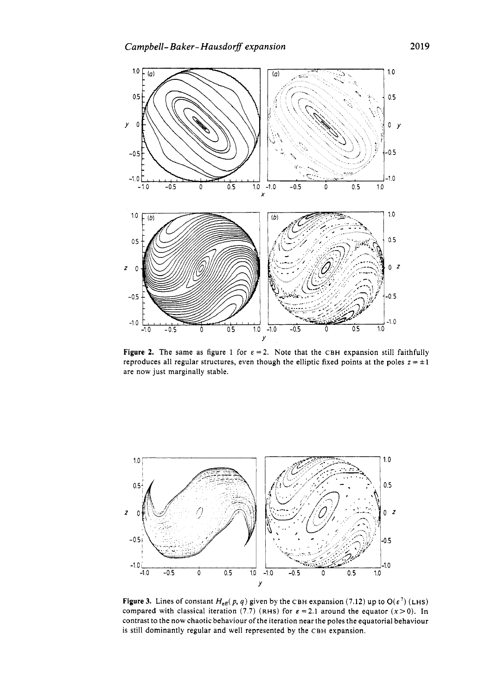

**Figure 2.** The same as figure 1 for  $\epsilon = 2$ . Note that the CBH expansion still faithfully reproduces all regular structures, even though the elliptic fixed points at the poles  $z = \pm 1$ are now just marginally stable.



**Figure 3.** Lines of constant  $H_{\text{eff}}(p, q)$  given by the CBH expansion (7.12) up to O( $\varepsilon^7$ ) (LHS) compared with classical iteration (7.7) **(RHS)** for  $\epsilon = 2.1$  around the equator  $(x>0)$ . In contrast to the now chaotic behaviour of the iteration near the poles the equatorial behaviour is still dominantly regular and well represented by the CBH expansion.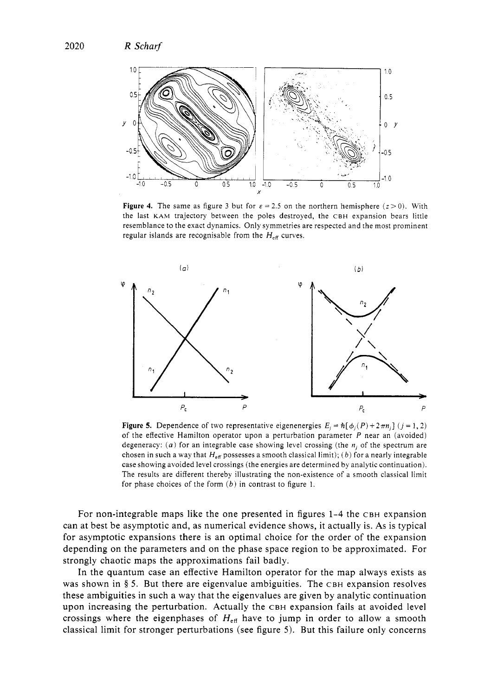

**Figure 4.** The same as figure 3 but for  $\varepsilon = 2.5$  on the northern hemisphere  $(z > 0)$ . With the last **KAM** trajectory between the poles destroyed, the CBH expansion bears little resemblance to the exact dynamics. Only symmetries are respected and the most prominent regular islands are recognisable from the  $H_{\text{eff}}$  curves.



**Figure 5.** Dependence of two representative eigenenergies  $E_i = \hbar[\phi_i(P) + 2\pi n_i]$  ( $j = 1, 2$ ) of the effective Hamilton operator upon a perturbation parameter *P* near an (avoided) degeneracy: (a) for an integrable case showing level crossing (the  $n_i$  of the spectrum are chosen in such a way that  $H_{\text{eff}}$  possesses a smooth classical limit); (b) for a nearly integrable case showing avoided level crossings (the energies are determined by analytic continuation). The results are different thereby illustrating the non-existence of a smooth classical limit for phase choices of the form *(b)* in contrast to figure 1.

For non-integrable maps like the one presented in figures 1-4 the CBH expansion can at best be asymptotic and, as numerical evidence shows, it actually is. As is typical for asymptotic expansions there is an optimal choice for the order of the expansion depending on the parameters and on the phase space region to be approximated. For strongly chaotic maps the approximations fail badly.

In the quantum case an effective Hamilton operator for the map always exists as was shown in **3** *5.* But there are eigenvalue ambiguities. The CBH expansion resolves these ambiguities in such a way that the eigenvalues are given by analytic continuation upon increasing the perturbation. Actually the CBH expansion fails at avoided level crossings where the eigenphases of  $H_{\text{eff}}$  have to jump in order to allow a smooth classical limit for stronger perturbations (see figure 5). But this failure only concerns